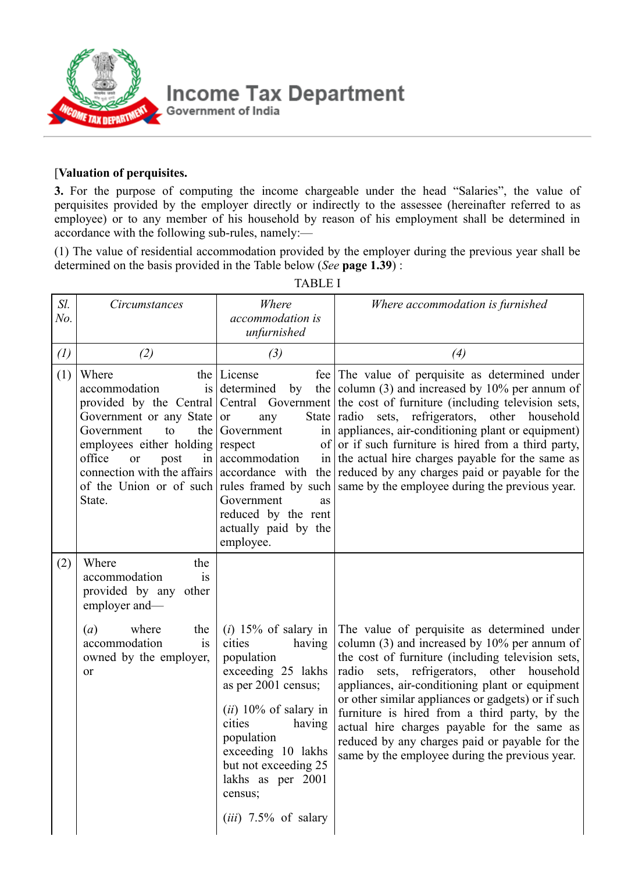

## [**Valuation of perquisites.**

**3.** For the purpose of computing the income chargeable under the head "Salaries", the value of perquisites provided by the employer directly or indirectly to the assessee (hereinafter referred to as employee) or to any member of his household by reason of his employment shall be determined in accordance with the following sub-rules, namely:—

(1) The value of residential accommodation provided by the employer during the previous year shall be determined on the basis provided in the Table below (*See* **page 1.39**) :

| Sl.<br>No. | Circumstances                                                                                                                                         | Where<br>accommodation is<br>unfurnished                                                                                                                                                                                                       | Where accommodation is furnished                                                                                                                                                                                                                                                                                                                                                                                                                                                                                                                                                                                                |
|------------|-------------------------------------------------------------------------------------------------------------------------------------------------------|------------------------------------------------------------------------------------------------------------------------------------------------------------------------------------------------------------------------------------------------|---------------------------------------------------------------------------------------------------------------------------------------------------------------------------------------------------------------------------------------------------------------------------------------------------------------------------------------------------------------------------------------------------------------------------------------------------------------------------------------------------------------------------------------------------------------------------------------------------------------------------------|
| (1)        | (2)                                                                                                                                                   | (3)                                                                                                                                                                                                                                            | (4)                                                                                                                                                                                                                                                                                                                                                                                                                                                                                                                                                                                                                             |
| (1)        | Where<br>accommodation<br>Government or any State or<br>Government<br>to<br>employees either holding respect<br>office<br><b>or</b><br>post<br>State. | the License<br>is determined<br>by<br>any<br>the Government<br>in accommodation<br>Government<br>as<br>reduced by the rent<br>actually paid by the<br>employee.                                                                                | fee The value of perquisite as determined under<br>the column $(3)$ and increased by 10% per annum of<br>provided by the Central Central Government the cost of furniture (including television sets,<br>State radio sets, refrigerators, other household<br>in appliances, air-conditioning plant or equipment)<br>of or if such furniture is hired from a third party,<br>in the actual hire charges payable for the same as<br>connection with the affairs accordance with the reduced by any charges paid or payable for the<br>of the Union or of such rules framed by such same by the employee during the previous year. |
| (2)        | Where<br>the<br>accommodation<br>is<br>provided by any other<br>employer and-                                                                         |                                                                                                                                                                                                                                                |                                                                                                                                                                                                                                                                                                                                                                                                                                                                                                                                                                                                                                 |
|            | where<br>(a)<br>the<br>accommodation<br>is<br>owned by the employer,<br>or                                                                            | cities<br>having<br>population<br>exceeding 25 lakhs<br>as per 2001 census;<br>(ii) 10% of salary in<br>cities<br>having<br>population<br>exceeding 10 lakhs<br>but not exceeding 25<br>lakhs as per 2001<br>census;<br>$(iii)$ 7.5% of salary | $(i)$ 15% of salary in The value of perquisite as determined under<br>column $(3)$ and increased by 10% per annum of<br>the cost of furniture (including television sets,<br>radio sets, refrigerators, other household<br>appliances, air-conditioning plant or equipment<br>or other similar appliances or gadgets) or if such<br>furniture is hired from a third party, by the<br>actual hire charges payable for the same as<br>reduced by any charges paid or payable for the<br>same by the employee during the previous year.                                                                                            |

TABLE I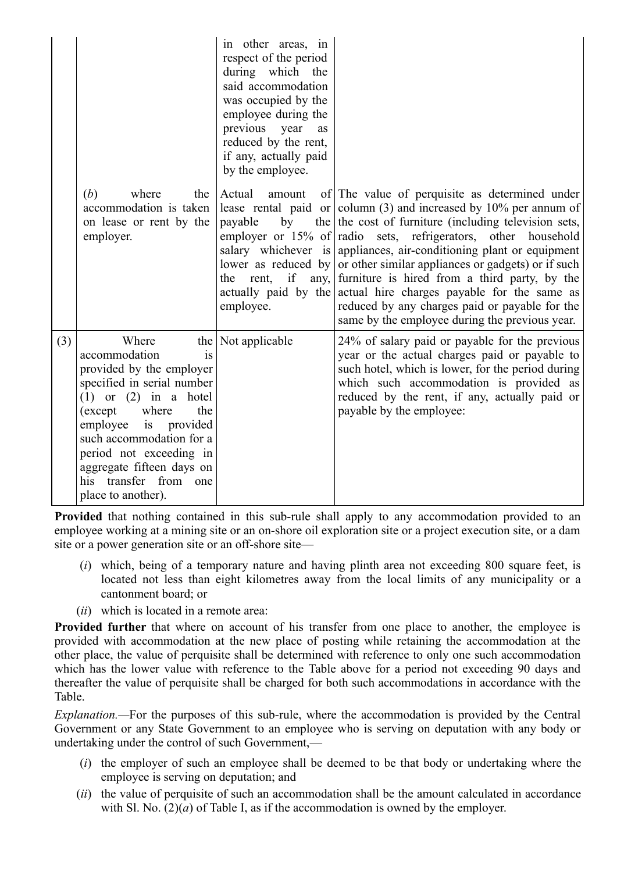|     | (b)<br>where<br>the<br>accommodation is taken<br>on lease or rent by the<br>employer.                                                                                                                                                                                                                        | in other areas, in<br>respect of the period<br>during which the<br>said accommodation<br>was occupied by the<br>employee during the<br>previous year<br>as<br>reduced by the rent,<br>if any, actually paid<br>by the employee.<br>Actual<br>amount<br>payable<br>rent,<br>the<br>employee. | of The value of perquisite as determined under<br>lease rental paid or column (3) and increased by 10% per annum of<br>by the the cost of furniture (including television sets,<br>employer or 15% of radio sets, refrigerators, other household<br>salary whichever is appliances, air-conditioning plant or equipment<br>lower as reduced by or other similar appliances or gadgets) or if such<br>if any, furniture is hired from a third party, by the<br>actually paid by the actual hire charges payable for the same as<br>reduced by any charges paid or payable for the |
|-----|--------------------------------------------------------------------------------------------------------------------------------------------------------------------------------------------------------------------------------------------------------------------------------------------------------------|---------------------------------------------------------------------------------------------------------------------------------------------------------------------------------------------------------------------------------------------------------------------------------------------|----------------------------------------------------------------------------------------------------------------------------------------------------------------------------------------------------------------------------------------------------------------------------------------------------------------------------------------------------------------------------------------------------------------------------------------------------------------------------------------------------------------------------------------------------------------------------------|
| (3) | Where<br>accommodation<br>is<br>provided by the employer<br>specified in serial number<br>$(1)$ or $(2)$ in a hotel<br>(except<br>where<br>the<br>employee is<br>provided<br>such accommodation for a<br>period not exceeding in<br>aggregate fifteen days on<br>his transfer from one<br>place to another). | the Not applicable                                                                                                                                                                                                                                                                          | same by the employee during the previous year.<br>24% of salary paid or payable for the previous<br>year or the actual charges paid or payable to<br>such hotel, which is lower, for the period during<br>which such accommodation is provided as<br>reduced by the rent, if any, actually paid or<br>payable by the employee:                                                                                                                                                                                                                                                   |

**Provided** that nothing contained in this sub-rule shall apply to any accommodation provided to an employee working at a mining site or an on-shore oil exploration site or a project execution site, or a dam site or a power generation site or an off-shore site—

- (*i*) which, being of a temporary nature and having plinth area not exceeding 800 square feet, is located not less than eight kilometres away from the local limits of any municipality or a cantonment board; or
- (*ii*) which is located in a remote area:

**Provided further** that where on account of his transfer from one place to another, the employee is provided with accommodation at the new place of posting while retaining the accommodation at the other place, the value of perquisite shall be determined with reference to only one such accommodation which has the lower value with reference to the Table above for a period not exceeding 90 days and thereafter the value of perquisite shall be charged for both such accommodations in accordance with the Table.

*Explanation.—*For the purposes of this sub-rule, where the accommodation is provided by the Central Government or any State Government to an employee who is serving on deputation with any body or undertaking under the control of such Government,—

- (*i*) the employer of such an employee shall be deemed to be that body or undertaking where the employee is serving on deputation; and
- (*ii*) the value of perquisite of such an accommodation shall be the amount calculated in accordance with Sl. No.  $(2)(a)$  of Table I, as if the accommodation is owned by the employer.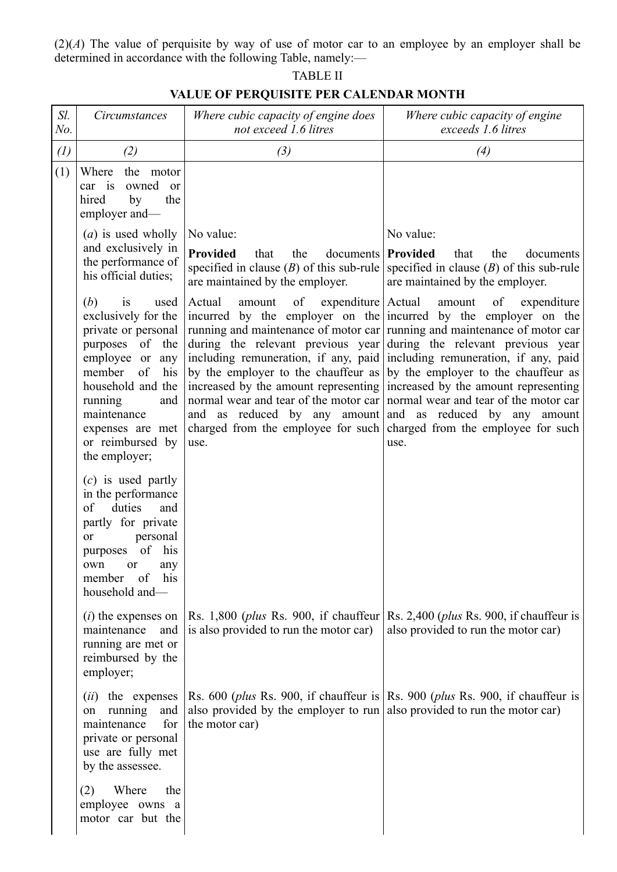(2)(*A*) The value of perquisite by way of use of motor car to an employee by an employer shall be determined in accordance with the following Table, namely:—

| Sl.<br>No.        | Circumstances                                                                                                                                                                                                                                  | Where cubic capacity of engine does<br>not exceed 1.6 litres                                                                                                                                | Where cubic capacity of engine<br>exceeds 1.6 litres                                                                                                                                                                                                                                                                                                                                                                                                                                                                                                                                                                                                                                                                 |
|-------------------|------------------------------------------------------------------------------------------------------------------------------------------------------------------------------------------------------------------------------------------------|---------------------------------------------------------------------------------------------------------------------------------------------------------------------------------------------|----------------------------------------------------------------------------------------------------------------------------------------------------------------------------------------------------------------------------------------------------------------------------------------------------------------------------------------------------------------------------------------------------------------------------------------------------------------------------------------------------------------------------------------------------------------------------------------------------------------------------------------------------------------------------------------------------------------------|
| $\left( l\right)$ | (2)<br>(3)                                                                                                                                                                                                                                     |                                                                                                                                                                                             | (4)                                                                                                                                                                                                                                                                                                                                                                                                                                                                                                                                                                                                                                                                                                                  |
| (1)               | Where<br>the motor<br>owned<br>car is<br><sub>or</sub><br>the<br>hired<br>by<br>employer and-                                                                                                                                                  |                                                                                                                                                                                             |                                                                                                                                                                                                                                                                                                                                                                                                                                                                                                                                                                                                                                                                                                                      |
|                   | $(a)$ is used wholly<br>and exclusively in<br>the performance of<br>his official duties;                                                                                                                                                       | No value:                                                                                                                                                                                   | No value:                                                                                                                                                                                                                                                                                                                                                                                                                                                                                                                                                                                                                                                                                                            |
|                   |                                                                                                                                                                                                                                                | <b>Provided</b><br>documents   Provided<br>that<br>the<br>are maintained by the employer.                                                                                                   | that<br>the<br>documents<br>specified in clause (B) of this sub-rule specified in clause (B) of this sub-rule<br>are maintained by the employer.                                                                                                                                                                                                                                                                                                                                                                                                                                                                                                                                                                     |
|                   | (b)<br>used<br>1S<br>exclusively for the<br>private or personal<br>purposes of the<br>employee or<br>any<br>member<br>of<br>his<br>household and the<br>running<br>and<br>maintenance<br>expenses are met<br>or reimbursed by<br>the employer; | of expenditure Actual<br>Actual<br>amount<br>use.                                                                                                                                           | amount<br>of<br>expenditure<br>incurred by the employer on the incurred by the employer on the<br>running and maintenance of motor car running and maintenance of motor car<br>during the relevant previous year during the relevant previous year<br>including remuneration, if any, paid including remuneration, if any, paid<br>by the employer to the chauffeur as by the employer to the chauffeur as<br>increased by the amount representing increased by the amount representing<br>normal wear and tear of the motor car normal wear and tear of the motor car<br>and as reduced by any amount and as reduced by any amount<br>charged from the employee for such charged from the employee for such<br>use. |
|                   | $(c)$ is used partly<br>in the performance<br>of<br>duties<br>and<br>partly for private<br>personal<br><sub>or</sub><br>of<br>his<br>purposes<br>own<br>any<br>or<br>his<br>member<br>of<br>household and-                                     |                                                                                                                                                                                             |                                                                                                                                                                                                                                                                                                                                                                                                                                                                                                                                                                                                                                                                                                                      |
|                   | $(i)$ the expenses on<br>maintenance<br>and<br>running are met or<br>reimbursed by the<br>employer;                                                                                                                                            | Rs. 1,800 ( <i>plus</i> Rs. 900, if chauffeur Rs. 2,400 ( <i>plus</i> Rs. 900, if chauffeur is<br>is also provided to run the motor car)                                                    | also provided to run the motor car)                                                                                                                                                                                                                                                                                                                                                                                                                                                                                                                                                                                                                                                                                  |
|                   | <i>(ii)</i> the expenses<br>running<br>and<br>on<br>for<br>maintenance<br>private or personal<br>use are fully met<br>by the assessee.                                                                                                         | Rs. 600 ( <i>plus</i> Rs. 900, if chauffeur is Rs. 900 ( <i>plus</i> Rs. 900, if chauffeur is<br>also provided by the employer to run also provided to run the motor car)<br>the motor car) |                                                                                                                                                                                                                                                                                                                                                                                                                                                                                                                                                                                                                                                                                                                      |
|                   | Where<br>the<br>(2)<br>employee owns a<br>motor car but the                                                                                                                                                                                    |                                                                                                                                                                                             |                                                                                                                                                                                                                                                                                                                                                                                                                                                                                                                                                                                                                                                                                                                      |

## TABLE II **VALUE OF PERQUISITE PER CALENDAR MONTH**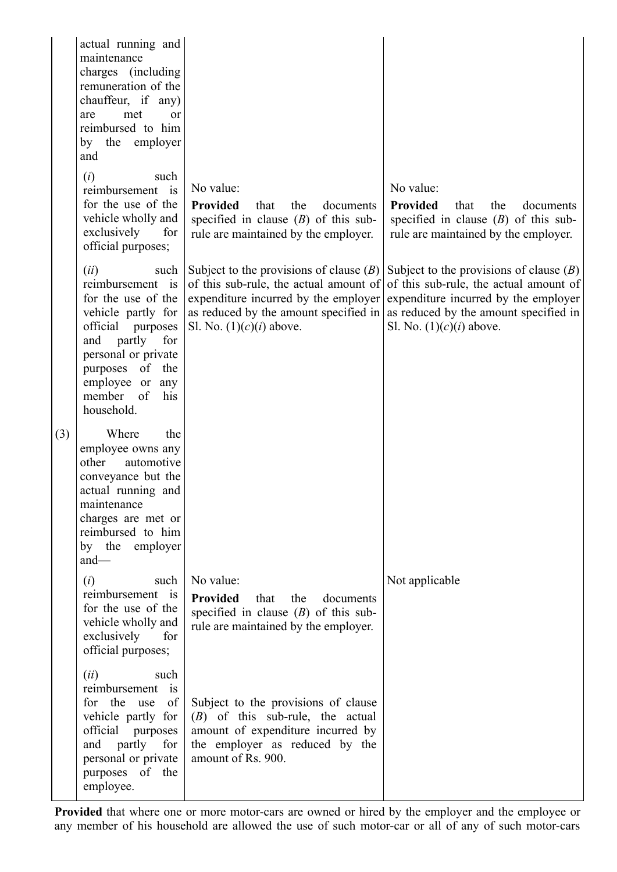|     | actual running and<br>maintenance<br>charges (including<br>remuneration of the<br>chauffeur, if any)<br>met<br>are<br><sub>or</sub><br>reimbursed to him<br>by the employer<br>and                                             |                                                                                                                                                                                                    |                                                                                                                                                                                                    |
|-----|--------------------------------------------------------------------------------------------------------------------------------------------------------------------------------------------------------------------------------|----------------------------------------------------------------------------------------------------------------------------------------------------------------------------------------------------|----------------------------------------------------------------------------------------------------------------------------------------------------------------------------------------------------|
|     | (i)<br>such<br>reimbursement is<br>for the use of the<br>vehicle wholly and<br>exclusively<br>for<br>official purposes;                                                                                                        | No value:<br><b>Provided</b><br>that<br>the<br>documents<br>specified in clause $(B)$ of this sub-<br>rule are maintained by the employer.                                                         | No value:<br>Provided<br>that<br>the<br>documents<br>specified in clause $(B)$ of this sub-<br>rule are maintained by the employer.                                                                |
|     | (ii)<br>such<br>reimbursement is<br>for the use of the<br>vehicle partly for<br>official<br>purposes<br>partly<br>for<br>and<br>personal or private<br>purposes of the<br>employee or any<br>member<br>of<br>his<br>household. | Subject to the provisions of clause $(B)$<br>of this sub-rule, the actual amount of<br>expenditure incurred by the employer<br>as reduced by the amount specified in<br>Sl. No. $(1)(c)(i)$ above. | Subject to the provisions of clause $(B)$<br>of this sub-rule, the actual amount of<br>expenditure incurred by the employer<br>as reduced by the amount specified in<br>Sl. No. $(1)(c)(i)$ above. |
| (3) | Where<br>the<br>employee owns any<br>other<br>automotive<br>conveyance but the<br>actual running and<br>maintenance<br>charges are met or<br>reimbursed to him<br>by the employer<br>$and$ —                                   |                                                                                                                                                                                                    |                                                                                                                                                                                                    |
|     | (i)<br>such<br>reimbursement is<br>for the use of the<br>vehicle wholly and<br>exclusively<br>for<br>official purposes;                                                                                                        | No value:<br><b>Provided</b> that<br>the<br>documents<br>specified in clause $(B)$ of this sub-<br>rule are maintained by the employer.                                                            | Not applicable                                                                                                                                                                                     |
|     | (ii)<br>such<br>reimbursement is<br>for the use<br>of<br>vehicle partly for<br>official<br>purposes<br>partly<br>and<br>for<br>personal or private<br>purposes of the<br>employee.                                             | Subject to the provisions of clause<br>$(B)$ of this sub-rule, the actual<br>amount of expenditure incurred by<br>the employer as reduced by the<br>amount of Rs. 900.                             |                                                                                                                                                                                                    |

**Provided** that where one or more motor-cars are owned or hired by the employer and the employee or any member of his household are allowed the use of such motor-car or all of any of such motor-cars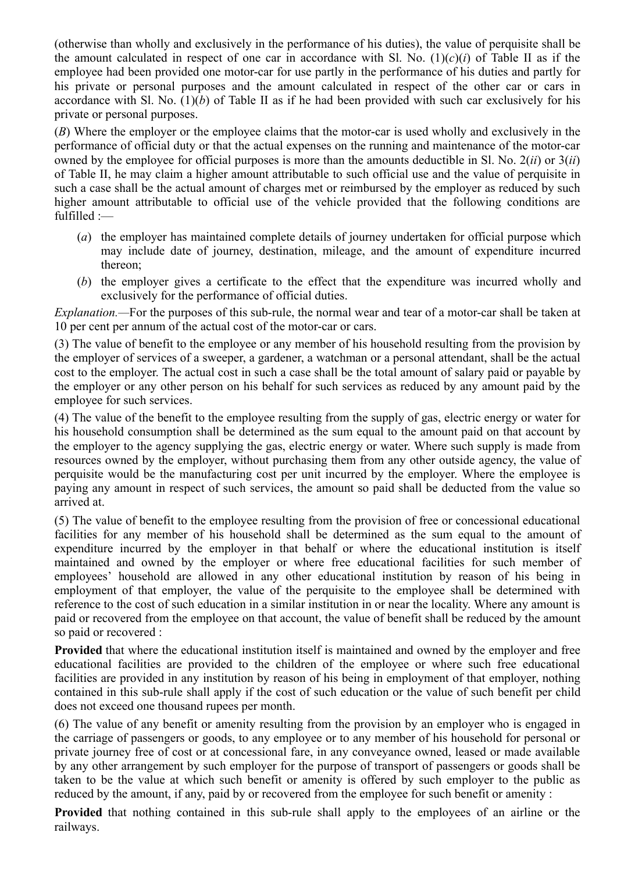(otherwise than wholly and exclusively in the performance of his duties), the value of perquisite shall be the amount calculated in respect of one car in accordance with Sl. No.  $(1)(c)(i)$  of Table II as if the employee had been provided one motor-car for use partly in the performance of his duties and partly for his private or personal purposes and the amount calculated in respect of the other car or cars in accordance with Sl. No. (1)(*b*) of Table II as if he had been provided with such car exclusively for his private or personal purposes.

(*B*) Where the employer or the employee claims that the motor-car is used wholly and exclusively in the performance of official duty or that the actual expenses on the running and maintenance of the motor-car owned by the employee for official purposes is more than the amounts deductible in Sl. No. 2(*ii*) or 3(*ii*) of Table II, he may claim a higher amount attributable to such official use and the value of perquisite in such a case shall be the actual amount of charges met or reimbursed by the employer as reduced by such higher amount attributable to official use of the vehicle provided that the following conditions are fulfilled :—

- (*a*) the employer has maintained complete details of journey undertaken for official purpose which may include date of journey, destination, mileage, and the amount of expenditure incurred thereon;
- (*b*) the employer gives a certificate to the effect that the expenditure was incurred wholly and exclusively for the performance of official duties.

*Explanation.*—For the purposes of this sub-rule, the normal wear and tear of a motor-car shall be taken at 10 per cent per annum of the actual cost of the motor-car or cars.

(3) The value of benefit to the employee or any member of his household resulting from the provision by the employer of services of a sweeper, a gardener, a watchman or a personal attendant, shall be the actual cost to the employer. The actual cost in such a case shall be the total amount of salary paid or payable by the employer or any other person on his behalf for such services as reduced by any amount paid by the employee for such services.

(4) The value of the benefit to the employee resulting from the supply of gas, electric energy or water for his household consumption shall be determined as the sum equal to the amount paid on that account by the employer to the agency supplying the gas, electric energy or water. Where such supply is made from resources owned by the employer, without purchasing them from any other outside agency, the value of perquisite would be the manufacturing cost per unit incurred by the employer. Where the employee is paying any amount in respect of such services, the amount so paid shall be deducted from the value so arrived at.

(5) The value of benefit to the employee resulting from the provision of free or concessional educational facilities for any member of his household shall be determined as the sum equal to the amount of expenditure incurred by the employer in that behalf or where the educational institution is itself maintained and owned by the employer or where free educational facilities for such member of employees' household are allowed in any other educational institution by reason of his being in employment of that employer, the value of the perquisite to the employee shall be determined with reference to the cost of such education in a similar institution in or near the locality. Where any amount is paid or recovered from the employee on that account, the value of benefit shall be reduced by the amount so paid or recovered :

**Provided** that where the educational institution itself is maintained and owned by the employer and free educational facilities are provided to the children of the employee or where such free educational facilities are provided in any institution by reason of his being in employment of that employer, nothing contained in this sub-rule shall apply if the cost of such education or the value of such benefit per child does not exceed one thousand rupees per month.

(6) The value of any benefit or amenity resulting from the provision by an employer who is engaged in the carriage of passengers or goods, to any employee or to any member of his household for personal or private journey free of cost or at concessional fare, in any conveyance owned, leased or made available by any other arrangement by such employer for the purpose of transport of passengers or goods shall be taken to be the value at which such benefit or amenity is offered by such employer to the public as reduced by the amount, if any, paid by or recovered from the employee for such benefit or amenity :

**Provided** that nothing contained in this sub-rule shall apply to the employees of an airline or the railways.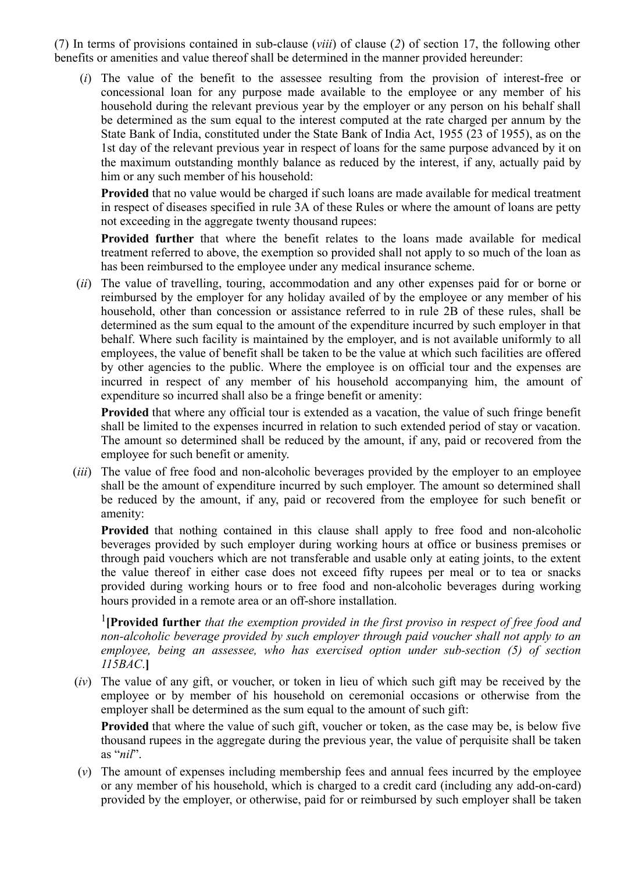(7) In terms of provisions contained in sub-clause (*viii*) of clause (*2*) of section 17, the following other benefits or amenities and value thereof shall be determined in the manner provided hereunder:

(*i*) The value of the benefit to the assessee resulting from the provision of interest-free or concessional loan for any purpose made available to the employee or any member of his household during the relevant previous year by the employer or any person on his behalf shall be determined as the sum equal to the interest computed at the rate charged per annum by the State Bank of India, constituted under the State Bank of India Act, 1955 (23 of 1955), as on the 1st day of the relevant previous year in respect of loans for the same purpose advanced by it on the maximum outstanding monthly balance as reduced by the interest, if any, actually paid by him or any such member of his household:

**Provided** that no value would be charged if such loans are made available for medical treatment in respect of diseases specified in rule 3A of these Rules or where the amount of loans are petty not exceeding in the aggregate twenty thousand rupees:

**Provided further** that where the benefit relates to the loans made available for medical treatment referred to above, the exemption so provided shall not apply to so much of the loan as has been reimbursed to the employee under any medical insurance scheme.

(*ii*) The value of travelling, touring, accommodation and any other expenses paid for or borne or reimbursed by the employer for any holiday availed of by the employee or any member of his household, other than concession or assistance referred to in rule 2B of these rules, shall be determined as the sum equal to the amount of the expenditure incurred by such employer in that behalf. Where such facility is maintained by the employer, and is not available uniformly to all employees, the value of benefit shall be taken to be the value at which such facilities are offered by other agencies to the public. Where the employee is on official tour and the expenses are incurred in respect of any member of his household accompanying him, the amount of expenditure so incurred shall also be a fringe benefit or amenity:

**Provided** that where any official tour is extended as a vacation, the value of such fringe benefit shall be limited to the expenses incurred in relation to such extended period of stay or vacation. The amount so determined shall be reduced by the amount, if any, paid or recovered from the employee for such benefit or amenity.

(*iii*) The value of free food and non-alcoholic beverages provided by the employer to an employee shall be the amount of expenditure incurred by such employer. The amount so determined shall be reduced by the amount, if any, paid or recovered from the employee for such benefit or amenity:

**Provided** that nothing contained in this clause shall apply to free food and non-alcoholic beverages provided by such employer during working hours at office or business premises or through paid vouchers which are not transferable and usable only at eating joints, to the extent the value thereof in either case does not exceed fifty rupees per meal or to tea or snacks provided during working hours or to free food and non-alcoholic beverages during working hours provided in a remote area or an off-shore installation.

[1](javascript:ShowFootnote() **[Provided further** *that the exemption provided in the first proviso in respect of free food and non-alcoholic beverage provided by such employer through paid voucher shall not apply to an employee, being an assessee, who has exercised option under sub-section (5) of section 115BAC*.**]**

(*iv*) The value of any gift, or voucher, or token in lieu of which such gift may be received by the employee or by member of his household on ceremonial occasions or otherwise from the employer shall be determined as the sum equal to the amount of such gift:

**Provided** that where the value of such gift, voucher or token, as the case may be, is below five thousand rupees in the aggregate during the previous year, the value of perquisite shall be taken as "*nil*".

(*v*) The amount of expenses including membership fees and annual fees incurred by the employee or any member of his household, which is charged to a credit card (including any add-on-card) provided by the employer, or otherwise, paid for or reimbursed by such employer shall be taken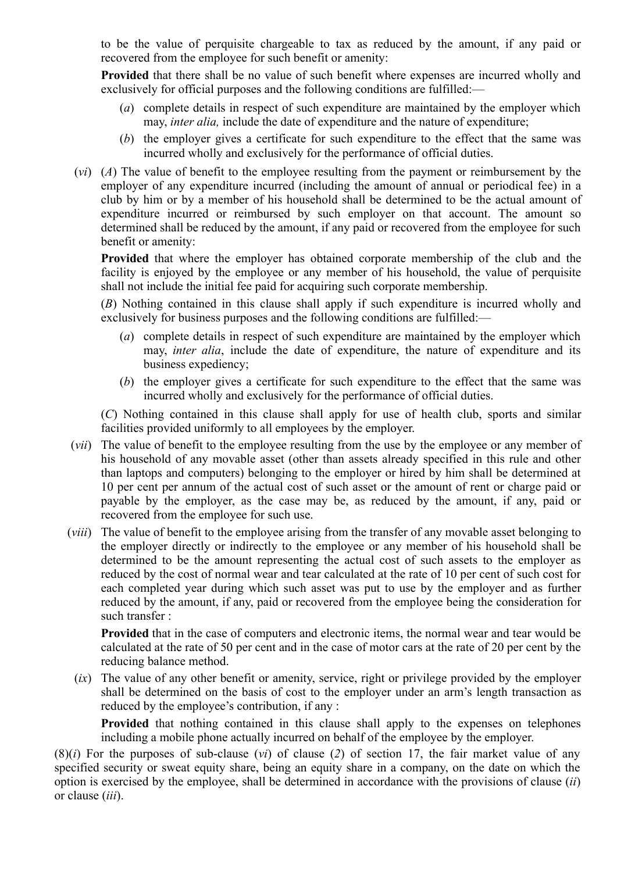to be the value of perquisite chargeable to tax as reduced by the amount, if any paid or recovered from the employee for such benefit or amenity:

**Provided** that there shall be no value of such benefit where expenses are incurred wholly and exclusively for official purposes and the following conditions are fulfilled:—

- (*a*) complete details in respect of such expenditure are maintained by the employer which may, *inter alia,* include the date of expenditure and the nature of expenditure;
- (*b*) the employer gives a certificate for such expenditure to the effect that the same was incurred wholly and exclusively for the performance of official duties.
- (*vi*) (*A*) The value of benefit to the employee resulting from the payment or reimbursement by the employer of any expenditure incurred (including the amount of annual or periodical fee) in a club by him or by a member of his household shall be determined to be the actual amount of expenditure incurred or reimbursed by such employer on that account. The amount so determined shall be reduced by the amount, if any paid or recovered from the employee for such benefit or amenity:

**Provided** that where the employer has obtained corporate membership of the club and the facility is enjoyed by the employee or any member of his household, the value of perquisite shall not include the initial fee paid for acquiring such corporate membership.

(*B*) Nothing contained in this clause shall apply if such expenditure is incurred wholly and exclusively for business purposes and the following conditions are fulfilled:—

- (*a*) complete details in respect of such expenditure are maintained by the employer which may, *inter alia*, include the date of expenditure, the nature of expenditure and its business expediency;
- (*b*) the employer gives a certificate for such expenditure to the effect that the same was incurred wholly and exclusively for the performance of official duties.

(*C*) Nothing contained in this clause shall apply for use of health club, sports and similar facilities provided uniformly to all employees by the employer.

- (*vii*) The value of benefit to the employee resulting from the use by the employee or any member of his household of any movable asset (other than assets already specified in this rule and other than laptops and computers) belonging to the employer or hired by him shall be determined at 10 per cent per annum of the actual cost of such asset or the amount of rent or charge paid or payable by the employer, as the case may be, as reduced by the amount, if any, paid or recovered from the employee for such use.
- (*viii*) The value of benefit to the employee arising from the transfer of any movable asset belonging to the employer directly or indirectly to the employee or any member of his household shall be determined to be the amount representing the actual cost of such assets to the employer as reduced by the cost of normal wear and tear calculated at the rate of 10 per cent of such cost for each completed year during which such asset was put to use by the employer and as further reduced by the amount, if any, paid or recovered from the employee being the consideration for such transfer :

**Provided** that in the case of computers and electronic items, the normal wear and tear would be calculated at the rate of 50 per cent and in the case of motor cars at the rate of 20 per cent by the reducing balance method.

(*ix*) The value of any other benefit or amenity, service, right or privilege provided by the employer shall be determined on the basis of cost to the employer under an arm's length transaction as reduced by the employee's contribution, if any :

**Provided** that nothing contained in this clause shall apply to the expenses on telephones including a mobile phone actually incurred on behalf of the employee by the employer.

(8)(*i*) For the purposes of sub-clause (*vi*) of clause (*2*) of section 17, the fair market value of any specified security or sweat equity share, being an equity share in a company, on the date on which the option is exercised by the employee, shall be determined in accordance with the provisions of clause (*ii*) or clause (*iii*).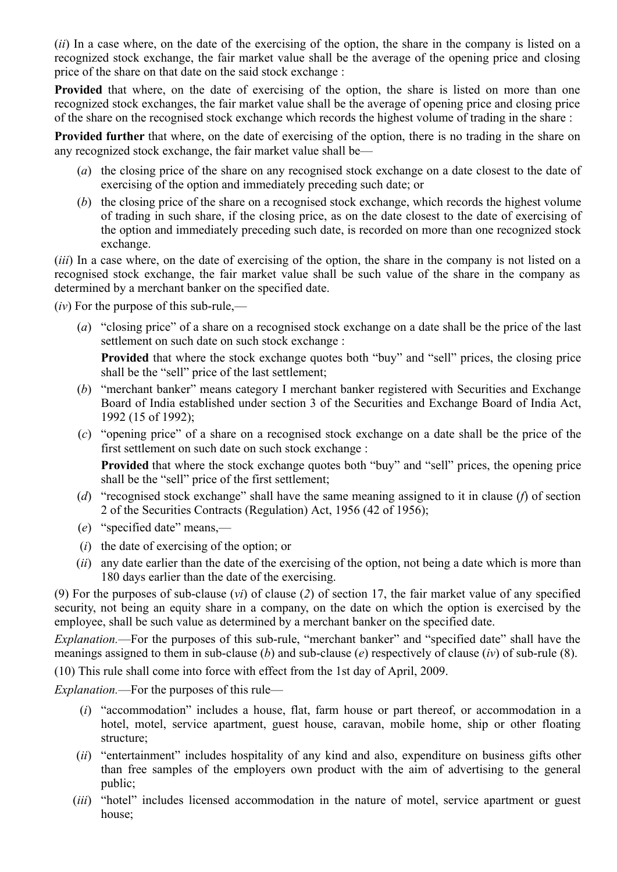(*ii*) In a case where, on the date of the exercising of the option, the share in the company is listed on a recognized stock exchange, the fair market value shall be the average of the opening price and closing price of the share on that date on the said stock exchange :

**Provided** that where, on the date of exercising of the option, the share is listed on more than one recognized stock exchanges, the fair market value shall be the average of opening price and closing price of the share on the recognised stock exchange which records the highest volume of trading in the share :

**Provided further** that where, on the date of exercising of the option, there is no trading in the share on any recognized stock exchange, the fair market value shall be—

- (*a*) the closing price of the share on any recognised stock exchange on a date closest to the date of exercising of the option and immediately preceding such date; or
- (*b*) the closing price of the share on a recognised stock exchange, which records the highest volume of trading in such share, if the closing price, as on the date closest to the date of exercising of the option and immediately preceding such date, is recorded on more than one recognized stock exchange.

(*iii*) In a case where, on the date of exercising of the option, the share in the company is not listed on a recognised stock exchange, the fair market value shall be such value of the share in the company as determined by a merchant banker on the specified date.

(*iv*) For the purpose of this sub-rule,—

(*a*) "closing price" of a share on a recognised stock exchange on a date shall be the price of the last settlement on such date on such stock exchange :

**Provided** that where the stock exchange quotes both "buy" and "sell" prices, the closing price shall be the "sell" price of the last settlement;

- (*b*) "merchant banker" means category I merchant banker registered with Securities and Exchange Board of India established under section 3 of the Securities and Exchange Board of India Act, 1992 (15 of 1992);
- (*c*) "opening price" of a share on a recognised stock exchange on a date shall be the price of the first settlement on such date on such stock exchange :

**Provided** that where the stock exchange quotes both "buy" and "sell" prices, the opening price shall be the "sell" price of the first settlement;

- (*d*) "recognised stock exchange" shall have the same meaning assigned to it in clause (*f*) of section 2 of the Securities Contracts (Regulation) Act, 1956 (42 of 1956);
- (*e*) "specified date" means,—
- (*i*) the date of exercising of the option; or
- (*ii*) any date earlier than the date of the exercising of the option, not being a date which is more than 180 days earlier than the date of the exercising.

(9) For the purposes of sub-clause (*vi*) of clause (*2*) of section 17, the fair market value of any specified security, not being an equity share in a company, on the date on which the option is exercised by the employee, shall be such value as determined by a merchant banker on the specified date.

*Explanation.*—For the purposes of this sub-rule, "merchant banker" and "specified date" shall have the meanings assigned to them in sub-clause (*b*) and sub-clause (*e*) respectively of clause (*iv*) of sub-rule (8).

(10) This rule shall come into force with effect from the 1st day of April, 2009.

*Explanation.*—For the purposes of this rule—

- (*i*) "accommodation" includes a house, flat, farm house or part thereof, or accommodation in a hotel, motel, service apartment, guest house, caravan, mobile home, ship or other floating structure;
- (*ii*) "entertainment" includes hospitality of any kind and also, expenditure on business gifts other than free samples of the employers own product with the aim of advertising to the general public;
- (*iii*) "hotel" includes licensed accommodation in the nature of motel, service apartment or guest house;